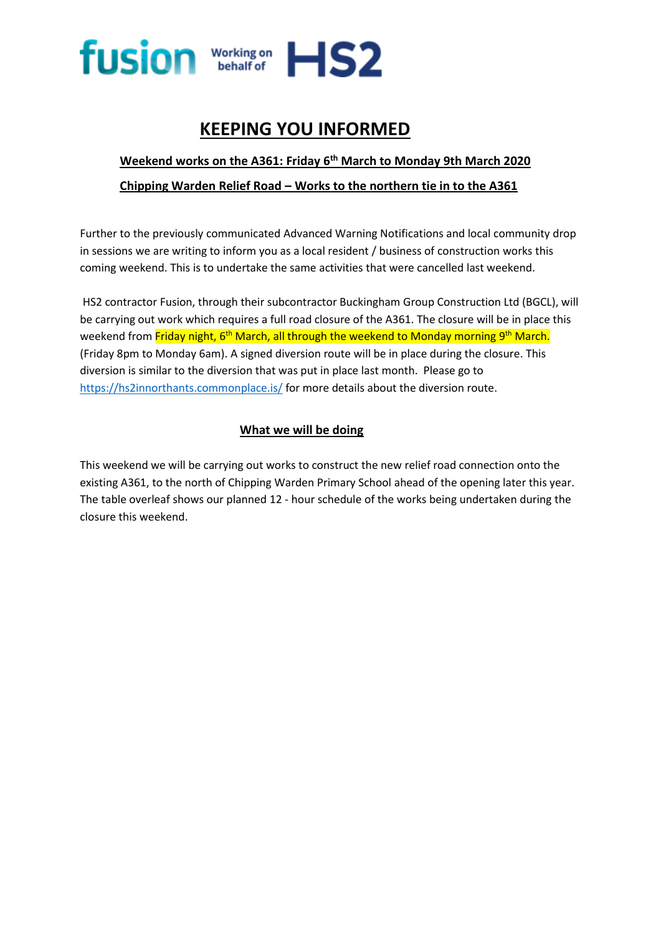

## **KEEPING YOU INFORMED**

## **Weekend works on the A361: Friday 6 th March to Monday 9th March 2020 Chipping Warden Relief Road – Works to the northern tie in to the A361**

Further to the previously communicated Advanced Warning Notifications and local community drop in sessions we are writing to inform you as a local resident / business of construction works this coming weekend. This is to undertake the same activities that were cancelled last weekend.

HS2 contractor Fusion, through their subcontractor Buckingham Group Construction Ltd (BGCL), will be carrying out work which requires a full road closure of the A361. The closure will be in place this weekend from <mark>Friday night, 6<sup>th</sup> March, all through the weekend to Monday morning 9<sup>th</sup> March.</mark> (Friday 8pm to Monday 6am). A signed diversion route will be in place during the closure. This diversion is similar to the diversion that was put in place last month. Please go to <https://hs2innorthants.commonplace.is/> for more details about the diversion route.

## **What we will be doing**

This weekend we will be carrying out works to construct the new relief road connection onto the existing A361, to the north of Chipping Warden Primary School ahead of the opening later this year. The table overleaf shows our planned 12 - hour schedule of the works being undertaken during the closure this weekend.